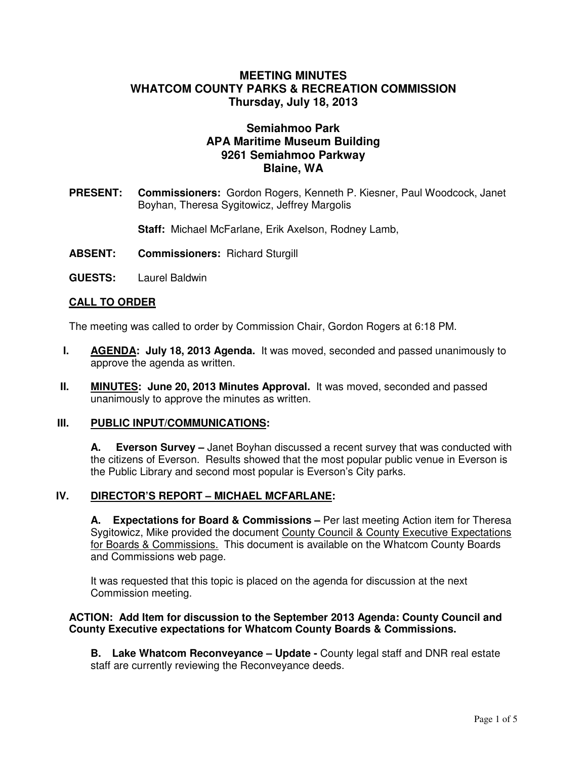# **MEETING MINUTES WHATCOM COUNTY PARKS & RECREATION COMMISSION Thursday, July 18, 2013**

# **Semiahmoo Park APA Maritime Museum Building 9261 Semiahmoo Parkway Blaine, WA**

**PRESENT: Commissioners:** Gordon Rogers, Kenneth P. Kiesner, Paul Woodcock, Janet Boyhan, Theresa Sygitowicz, Jeffrey Margolis

**Staff:** Michael McFarlane, Erik Axelson, Rodney Lamb,

- **ABSENT: Commissioners:** Richard Sturgill
- **GUESTS:** Laurel Baldwin

### **CALL TO ORDER**

The meeting was called to order by Commission Chair, Gordon Rogers at 6:18 PM.

- **I. AGENDA: July 18, 2013 Agenda.** It was moved, seconded and passed unanimously to approve the agenda as written.
- **II. MINUTES: June 20, 2013 Minutes Approval.** It was moved, seconded and passed unanimously to approve the minutes as written.

#### **III. PUBLIC INPUT/COMMUNICATIONS:**

**A. Everson Survey –** Janet Boyhan discussed a recent survey that was conducted with the citizens of Everson. Results showed that the most popular public venue in Everson is the Public Library and second most popular is Everson's City parks.

### **IV. DIRECTOR'S REPORT – MICHAEL MCFARLANE:**

**A. Expectations for Board & Commissions –** Per last meeting Action item for Theresa Sygitowicz, Mike provided the document County Council & County Executive Expectations for Boards & Commissions. This document is available on the Whatcom County Boards and Commissions web page.

It was requested that this topic is placed on the agenda for discussion at the next Commission meeting.

#### **ACTION: Add Item for discussion to the September 2013 Agenda: County Council and County Executive expectations for Whatcom County Boards & Commissions.**

**B. Lake Whatcom Reconveyance – Update -** County legal staff and DNR real estate staff are currently reviewing the Reconveyance deeds.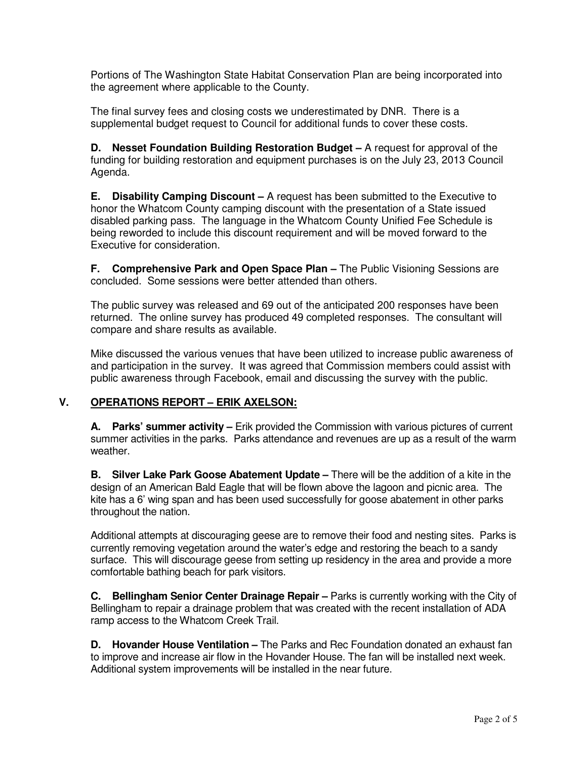Portions of The Washington State Habitat Conservation Plan are being incorporated into the agreement where applicable to the County.

The final survey fees and closing costs we underestimated by DNR. There is a supplemental budget request to Council for additional funds to cover these costs.

**D.** Nesset Foundation Building Restoration Budget – A request for approval of the funding for building restoration and equipment purchases is on the July 23, 2013 Council Agenda.

**E. Disability Camping Discount –** A request has been submitted to the Executive to honor the Whatcom County camping discount with the presentation of a State issued disabled parking pass. The language in the Whatcom County Unified Fee Schedule is being reworded to include this discount requirement and will be moved forward to the Executive for consideration.

**F.** Comprehensive Park and Open Space Plan – The Public Visioning Sessions are concluded. Some sessions were better attended than others.

The public survey was released and 69 out of the anticipated 200 responses have been returned. The online survey has produced 49 completed responses. The consultant will compare and share results as available.

Mike discussed the various venues that have been utilized to increase public awareness of and participation in the survey. It was agreed that Commission members could assist with public awareness through Facebook, email and discussing the survey with the public.

### **V. OPERATIONS REPORT – ERIK AXELSON:**

**A. Parks' summer activity –** Erik provided the Commission with various pictures of current summer activities in the parks. Parks attendance and revenues are up as a result of the warm weather.

**B. Silver Lake Park Goose Abatement Update –** There will be the addition of a kite in the design of an American Bald Eagle that will be flown above the lagoon and picnic area. The kite has a 6' wing span and has been used successfully for goose abatement in other parks throughout the nation.

Additional attempts at discouraging geese are to remove their food and nesting sites. Parks is currently removing vegetation around the water's edge and restoring the beach to a sandy surface. This will discourage geese from setting up residency in the area and provide a more comfortable bathing beach for park visitors.

**C. Bellingham Senior Center Drainage Repair –** Parks is currently working with the City of Bellingham to repair a drainage problem that was created with the recent installation of ADA ramp access to the Whatcom Creek Trail.

**D. Hovander House Ventilation –** The Parks and Rec Foundation donated an exhaust fan to improve and increase air flow in the Hovander House. The fan will be installed next week. Additional system improvements will be installed in the near future.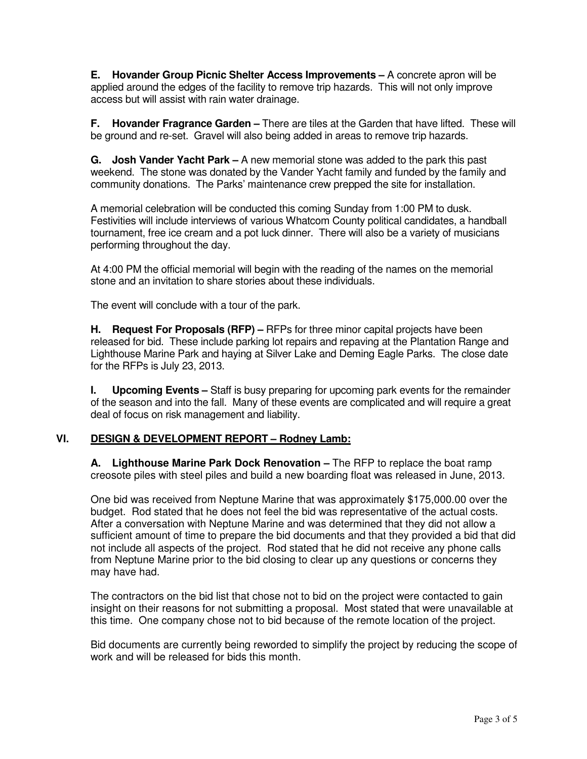**E. Hovander Group Picnic Shelter Access Improvements –** A concrete apron will be applied around the edges of the facility to remove trip hazards. This will not only improve access but will assist with rain water drainage.

**F. Hovander Fragrance Garden –** There are tiles at the Garden that have lifted. These will be ground and re-set. Gravel will also being added in areas to remove trip hazards.

**G. Josh Vander Yacht Park –** A new memorial stone was added to the park this past weekend. The stone was donated by the Vander Yacht family and funded by the family and community donations. The Parks' maintenance crew prepped the site for installation.

A memorial celebration will be conducted this coming Sunday from 1:00 PM to dusk. Festivities will include interviews of various Whatcom County political candidates, a handball tournament, free ice cream and a pot luck dinner. There will also be a variety of musicians performing throughout the day.

At 4:00 PM the official memorial will begin with the reading of the names on the memorial stone and an invitation to share stories about these individuals.

The event will conclude with a tour of the park.

**H. Request For Proposals (RFP) –** RFPs for three minor capital projects have been released for bid. These include parking lot repairs and repaving at the Plantation Range and Lighthouse Marine Park and haying at Silver Lake and Deming Eagle Parks. The close date for the RFPs is July 23, 2013.

**I.** Upcoming Events – Staff is busy preparing for upcoming park events for the remainder of the season and into the fall. Many of these events are complicated and will require a great deal of focus on risk management and liability.

### **VI. DESIGN & DEVELOPMENT REPORT – Rodney Lamb:**

**A. Lighthouse Marine Park Dock Renovation –** The RFP to replace the boat ramp creosote piles with steel piles and build a new boarding float was released in June, 2013.

One bid was received from Neptune Marine that was approximately \$175,000.00 over the budget. Rod stated that he does not feel the bid was representative of the actual costs. After a conversation with Neptune Marine and was determined that they did not allow a sufficient amount of time to prepare the bid documents and that they provided a bid that did not include all aspects of the project. Rod stated that he did not receive any phone calls from Neptune Marine prior to the bid closing to clear up any questions or concerns they may have had.

The contractors on the bid list that chose not to bid on the project were contacted to gain insight on their reasons for not submitting a proposal. Most stated that were unavailable at this time. One company chose not to bid because of the remote location of the project.

Bid documents are currently being reworded to simplify the project by reducing the scope of work and will be released for bids this month.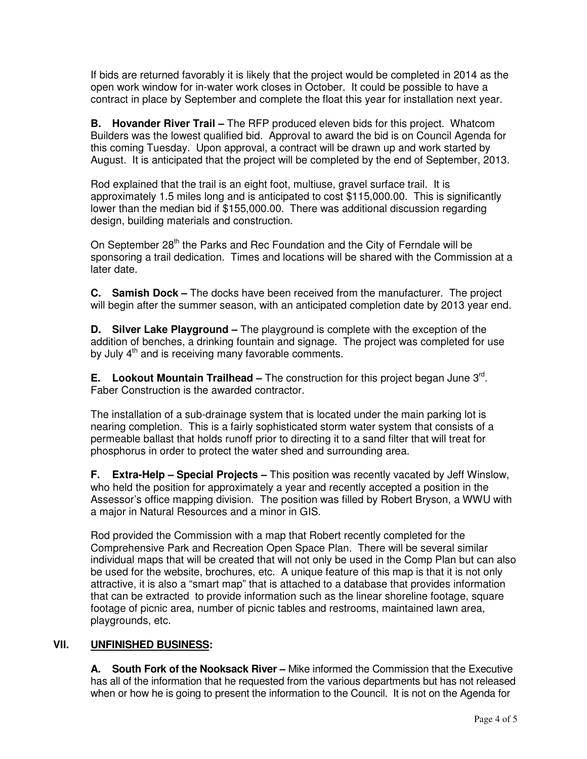If bids are returned favorably it is likely that the project would be completed in 2014 as the open work window for in-water work closes in October. It could be possible to have a contract in place by September and complete the float this year for installation next year.

**B. Hovander River Trail –** The RFP produced eleven bids for this project. Whatcom Builders was the lowest qualified bid. Approval to award the bid is on Council Agenda for this coming Tuesday. Upon approval, a contract will be drawn up and work started by August. It is anticipated that the project will be completed by the end of September, 2013.

Rod explained that the trail is an eight foot, multiuse, gravel surface trail. It is approximately 1.5 miles long and is anticipated to cost \$115,000.00. This is significantly lower than the median bid if \$155,000.00. There was additional discussion regarding design, building materials and construction.

On September 28<sup>th</sup> the Parks and Rec Foundation and the City of Ferndale will be sponsoring a trail dedication. Times and locations will be shared with the Commission at a later date.

**C. Samish Dock –** The docks have been received from the manufacturer. The project will begin after the summer season, with an anticipated completion date by 2013 year end.

**D. Silver Lake Playground –** The playground is complete with the exception of the addition of benches, a drinking fountain and signage. The project was completed for use by July 4<sup>th</sup> and is receiving many favorable comments.

**E.** Lookout Mountain Trailhead – The construction for this project began June 3<sup>rd</sup>. Faber Construction is the awarded contractor.

The installation of a sub-drainage system that is located under the main parking lot is nearing completion. This is a fairly sophisticated storm water system that consists of a permeable ballast that holds runoff prior to directing it to a sand filter that will treat for phosphorus in order to protect the water shed and surrounding area.

**F. Extra-Help – Special Projects –** This position was recently vacated by Jeff Winslow, who held the position for approximately a year and recently accepted a position in the Assessor's office mapping division. The position was filled by Robert Bryson, a WWU with a major in Natural Resources and a minor in GIS.

Rod provided the Commission with a map that Robert recently completed for the Comprehensive Park and Recreation Open Space Plan. There will be several similar individual maps that will be created that will not only be used in the Comp Plan but can also be used for the website, brochures, etc. A unique feature of this map is that it is not only attractive, it is also a "smart map" that is attached to a database that provides information that can be extracted to provide information such as the linear shoreline footage, square footage of picnic area, number of picnic tables and restrooms, maintained lawn area, playgrounds, etc.

# **VII. UNFINISHED BUSINESS:**

**A. South Fork of the Nooksack River –** Mike informed the Commission that the Executive has all of the information that he requested from the various departments but has not released when or how he is going to present the information to the Council. It is not on the Agenda for